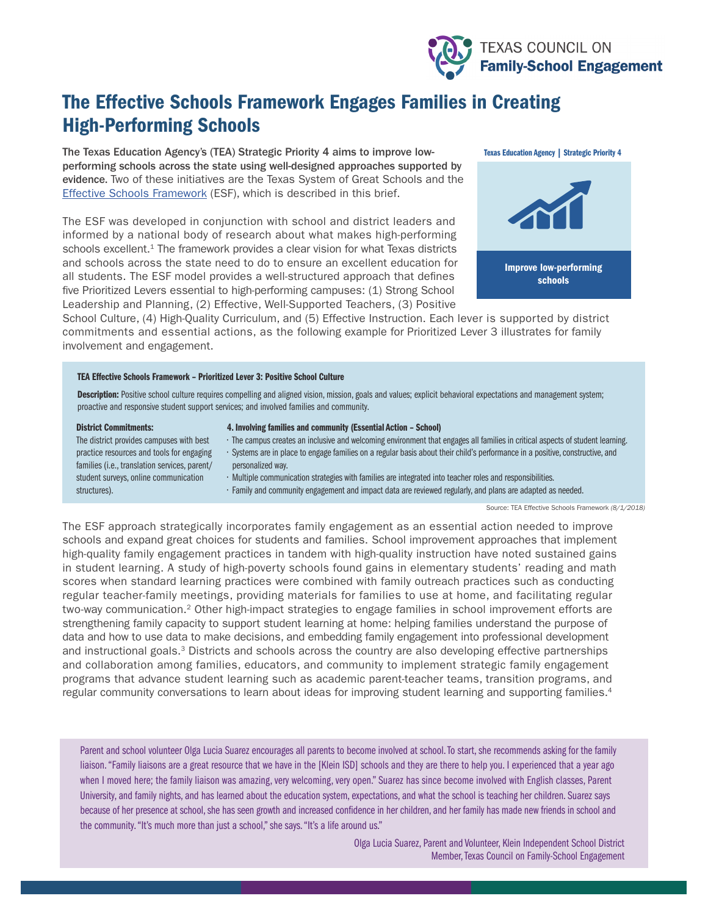

# The Effective Schools Framework Engages Families in Creating High-Performing Schools

The Texas Education Agency's (TEA) Strategic Priority 4 aims to improve lowperforming schools across the state using well-designed approaches supported by evidence. Two of these initiatives are the Texas System of Great Schools and the [Effective Schools Framework](https://texasesf.org/framework/) (ESF), which is described in this brief.

The ESF was developed in conjunction with school and district leaders and informed by a national body of research about what makes high-performing schools excellent.<sup>1</sup> The framework provides a clear vision for what Texas districts and schools across the state need to do to ensure an excellent education for all students. The ESF model provides a well-structured approach that defines five Prioritized Levers essential to high-performing campuses: (1) Strong School Leadership and Planning, (2) Effective, Well-Supported Teachers, (3) Positive



School Culture, (4) High-Quality Curriculum, and (5) Effective Instruction. Each lever is supported by district commitments and essential actions, as the following example for Prioritized Lever 3 illustrates for family involvement and engagement.

### TEA Effective Schools Framework – Prioritized Lever 3: Positive School Culture

Description: Positive school culture requires compelling and aligned vision, mission, goals and values; explicit behavioral expectations and management system; proactive and responsive student support services; and involved families and community.

#### District Commitments:

#### 4. Involving families and community (Essential Action – School)

- The campus creates an inclusive and welcoming environment that engages all families in critical aspects of student learning.
- The district provides campuses with best practice resources and tools for engaging families (i.e., translation services, parent/ student surveys, online communication structures).
- Systems are in place to engage families on a regular basis about their child's performance in a positive, constructive, and personalized way.
- Multiple communication strategies with families are integrated into teacher roles and responsibilities.
- Family and community engagement and impact data are reviewed regularly, and plans are adapted as needed.

Source: TEA Effective Schools Framework *(8/1/2018)*

The ESF approach strategically incorporates family engagement as an essential action needed to improve schools and expand great choices for students and families. School improvement approaches that implement high-quality family engagement practices in tandem with high-quality instruction have noted sustained gains in student learning. A study of high-poverty schools found gains in elementary students' reading and math scores when standard learning practices were combined with family outreach practices such as conducting regular teacher-family meetings, providing materials for families to use at home, and facilitating regular two-way communication.2 Other high-impact strategies to engage families in school improvement efforts are strengthening family capacity to support student learning at home: helping families understand the purpose of data and how to use data to make decisions, and embedding family engagement into professional development and instructional goals.3 Districts and schools across the country are also developing effective partnerships and collaboration among families, educators, and community to implement strategic family engagement programs that advance student learning such as academic parent-teacher teams, transition programs, and regular community conversations to learn about ideas for improving student learning and supporting families.4

Parent and school volunteer Olga Lucia Suarez encourages all parents to become involved at school. To start, she recommends asking for the family liaison. "Family liaisons are a great resource that we have in the [Klein ISD] schools and they are there to help you. I experienced that a year ago when I moved here; the family liaison was amazing, very welcoming, very open." Suarez has since become involved with English classes, Parent University, and family nights, and has learned about the education system, expectations, and what the school is teaching her children. Suarez says because of her presence at school, she has seen growth and increased confidence in her children, and her family has made new friends in school and the community. "It's much more than just a school," she says. "It's a life around us."

> Olga Lucia Suarez, Parent and Volunteer, Klein Independent School District Member, Texas Council on Family-School Engagement